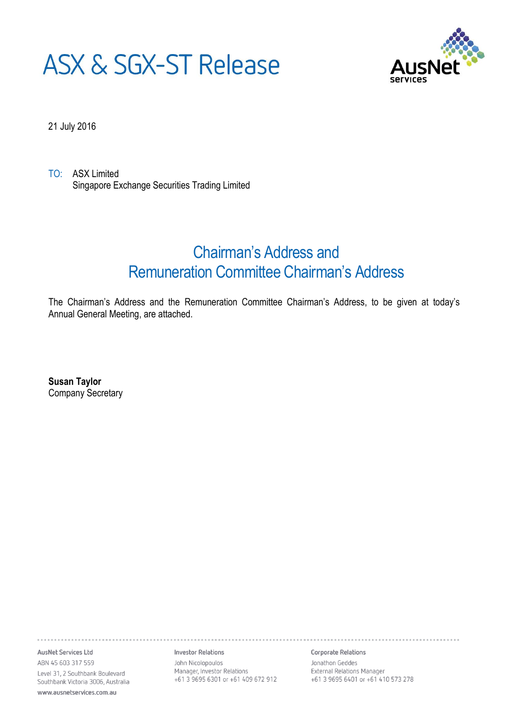# **ASX & SGX-ST Release**



21 July 2016

TO: ASX Limited Singapore Exchange Securities Trading Limited

# Chairman's Address and Remuneration Committee Chairman's Address

The Chairman's Address and the Remuneration Committee Chairman's Address, to be given at today's Annual General Meeting, are attached.

**Susan Taylor** Company Secretary

AusNet Services Ltd ABN 45 603 317 559 Level 31, 2 Southbank Boulevard Southbank Victoria 3006, Australia www.ausnetservices.com.au

**Investor Relations** 

John Nicolopoulos Manager, Investor Relations +61 3 9695 6301 or +61 409 672 912 Corporate Relations

Jonathon Geddes External Relations Manager +61 3 9695 6401 or +61 410 573 278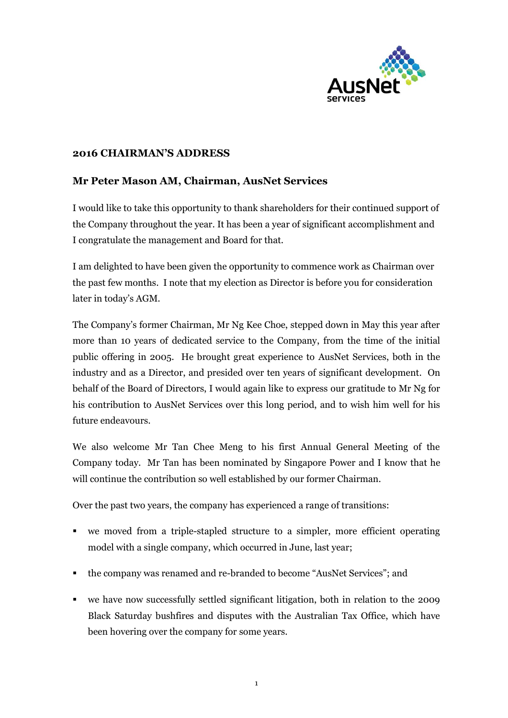

#### **2016 CHAIRMAN'S ADDRESS**

# **Mr Peter Mason AM, Chairman, AusNet Services**

I would like to take this opportunity to thank shareholders for their continued support of the Company throughout the year. It has been a year of significant accomplishment and I congratulate the management and Board for that.

I am delighted to have been given the opportunity to commence work as Chairman over the past few months. I note that my election as Director is before you for consideration later in today's AGM.

The Company's former Chairman, Mr Ng Kee Choe, stepped down in May this year after more than 10 years of dedicated service to the Company, from the time of the initial public offering in 2005. He brought great experience to AusNet Services, both in the industry and as a Director, and presided over ten years of significant development. On behalf of the Board of Directors, I would again like to express our gratitude to Mr Ng for his contribution to AusNet Services over this long period, and to wish him well for his future endeavours.

We also welcome Mr Tan Chee Meng to his first Annual General Meeting of the Company today. Mr Tan has been nominated by Singapore Power and I know that he will continue the contribution so well established by our former Chairman.

Over the past two years, the company has experienced a range of transitions:

- we moved from a triple-stapled structure to a simpler, more efficient operating model with a single company, which occurred in June, last year;
- the company was renamed and re-branded to become "AusNet Services"; and
- we have now successfully settled significant litigation, both in relation to the 2009 Black Saturday bushfires and disputes with the Australian Tax Office, which have been hovering over the company for some years.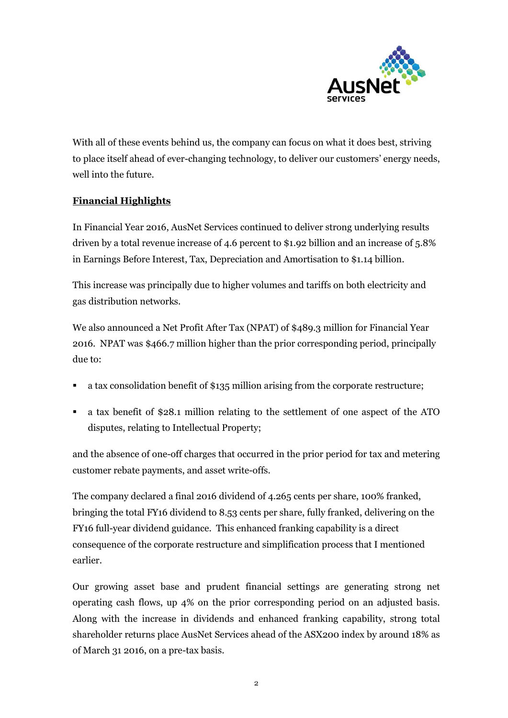

With all of these events behind us, the company can focus on what it does best, striving to place itself ahead of ever-changing technology, to deliver our customers' energy needs, well into the future.

# **Financial Highlights**

In Financial Year 2016, AusNet Services continued to deliver strong underlying results driven by a total revenue increase of 4.6 percent to \$1.92 billion and an increase of 5.8% in Earnings Before Interest, Tax, Depreciation and Amortisation to \$1.14 billion.

This increase was principally due to higher volumes and tariffs on both electricity and gas distribution networks.

We also announced a Net Profit After Tax (NPAT) of \$489.3 million for Financial Year 2016. NPAT was \$466.7 million higher than the prior corresponding period, principally due to:

- a tax consolidation benefit of \$135 million arising from the corporate restructure;
- a tax benefit of \$28.1 million relating to the settlement of one aspect of the ATO disputes, relating to Intellectual Property;

and the absence of one-off charges that occurred in the prior period for tax and metering customer rebate payments, and asset write-offs.

The company declared a final 2016 dividend of 4.265 cents per share, 100% franked, bringing the total FY16 dividend to 8.53 cents per share, fully franked, delivering on the FY16 full-year dividend guidance. This enhanced franking capability is a direct consequence of the corporate restructure and simplification process that I mentioned earlier.

Our growing asset base and prudent financial settings are generating strong net operating cash flows, up 4% on the prior corresponding period on an adjusted basis. Along with the increase in dividends and enhanced franking capability, strong total shareholder returns place AusNet Services ahead of the ASX200 index by around 18% as of March 31 2016, on a pre-tax basis.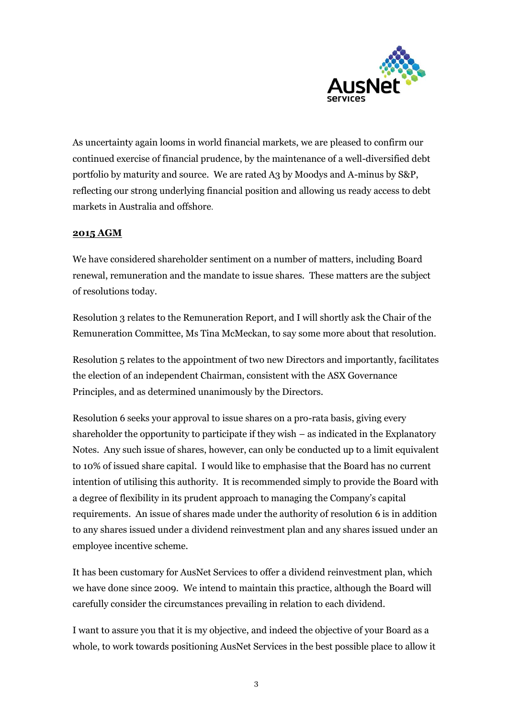

As uncertainty again looms in world financial markets, we are pleased to confirm our continued exercise of financial prudence, by the maintenance of a well-diversified debt portfolio by maturity and source. We are rated A3 by Moodys and A-minus by S&P, reflecting our strong underlying financial position and allowing us ready access to debt markets in Australia and offshore.

#### **2015 AGM**

We have considered shareholder sentiment on a number of matters, including Board renewal, remuneration and the mandate to issue shares. These matters are the subject of resolutions today.

Resolution 3 relates to the Remuneration Report, and I will shortly ask the Chair of the Remuneration Committee, Ms Tina McMeckan, to say some more about that resolution.

Resolution 5 relates to the appointment of two new Directors and importantly, facilitates the election of an independent Chairman, consistent with the ASX Governance Principles, and as determined unanimously by the Directors.

Resolution 6 seeks your approval to issue shares on a pro-rata basis, giving every shareholder the opportunity to participate if they wish – as indicated in the Explanatory Notes. Any such issue of shares, however, can only be conducted up to a limit equivalent to 10% of issued share capital. I would like to emphasise that the Board has no current intention of utilising this authority. It is recommended simply to provide the Board with a degree of flexibility in its prudent approach to managing the Company's capital requirements. An issue of shares made under the authority of resolution 6 is in addition to any shares issued under a dividend reinvestment plan and any shares issued under an employee incentive scheme.

It has been customary for AusNet Services to offer a dividend reinvestment plan, which we have done since 2009. We intend to maintain this practice, although the Board will carefully consider the circumstances prevailing in relation to each dividend.

I want to assure you that it is my objective, and indeed the objective of your Board as a whole, to work towards positioning AusNet Services in the best possible place to allow it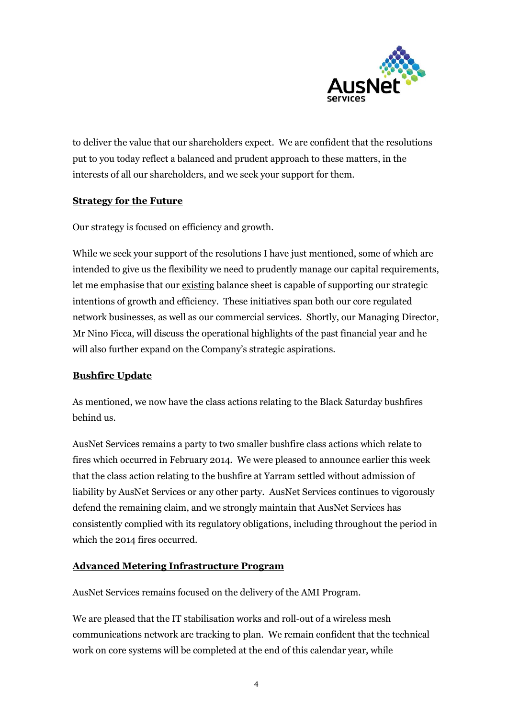

to deliver the value that our shareholders expect. We are confident that the resolutions put to you today reflect a balanced and prudent approach to these matters, in the interests of all our shareholders, and we seek your support for them.

#### **Strategy for the Future**

Our strategy is focused on efficiency and growth.

While we seek your support of the resolutions I have just mentioned, some of which are intended to give us the flexibility we need to prudently manage our capital requirements, let me emphasise that our existing balance sheet is capable of supporting our strategic intentions of growth and efficiency. These initiatives span both our core regulated network businesses, as well as our commercial services. Shortly, our Managing Director, Mr Nino Ficca, will discuss the operational highlights of the past financial year and he will also further expand on the Company's strategic aspirations.

#### **Bushfire Update**

As mentioned, we now have the class actions relating to the Black Saturday bushfires behind us.

AusNet Services remains a party to two smaller bushfire class actions which relate to fires which occurred in February 2014. We were pleased to announce earlier this week that the class action relating to the bushfire at Yarram settled without admission of liability by AusNet Services or any other party. AusNet Services continues to vigorously defend the remaining claim, and we strongly maintain that AusNet Services has consistently complied with its regulatory obligations, including throughout the period in which the 2014 fires occurred.

#### **Advanced Metering Infrastructure Program**

AusNet Services remains focused on the delivery of the AMI Program.

We are pleased that the IT stabilisation works and roll-out of a wireless mesh communications network are tracking to plan. We remain confident that the technical work on core systems will be completed at the end of this calendar year, while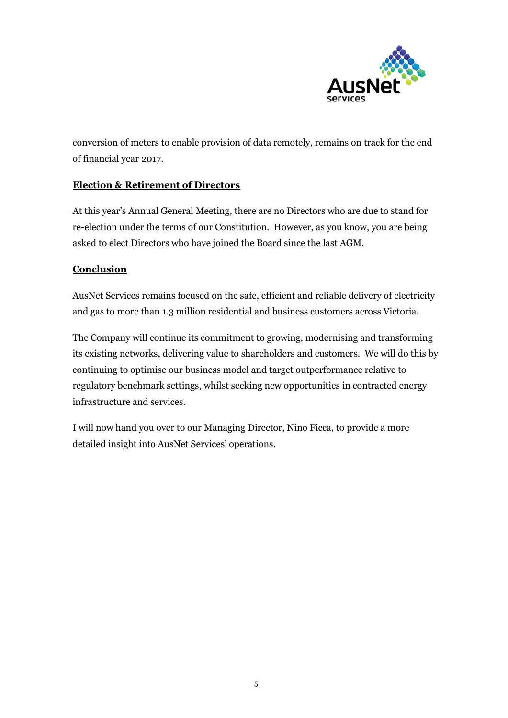

conversion of meters to enable provision of data remotely, remains on track for the end of financial year 2017.

#### **Election & Retirement of Directors**

At this year's Annual General Meeting, there are no Directors who are due to stand for re-election under the terms of our Constitution. However, as you know, you are being asked to elect Directors who have joined the Board since the last AGM.

#### **Conclusion**

AusNet Services remains focused on the safe, efficient and reliable delivery of electricity and gas to more than 1.3 million residential and business customers across Victoria.

The Company will continue its commitment to growing, modernising and transforming its existing networks, delivering value to shareholders and customers. We will do this by continuing to optimise our business model and target outperformance relative to regulatory benchmark settings, whilst seeking new opportunities in contracted energy infrastructure and services.

I will now hand you over to our Managing Director, Nino Ficca, to provide a more detailed insight into AusNet Services' operations.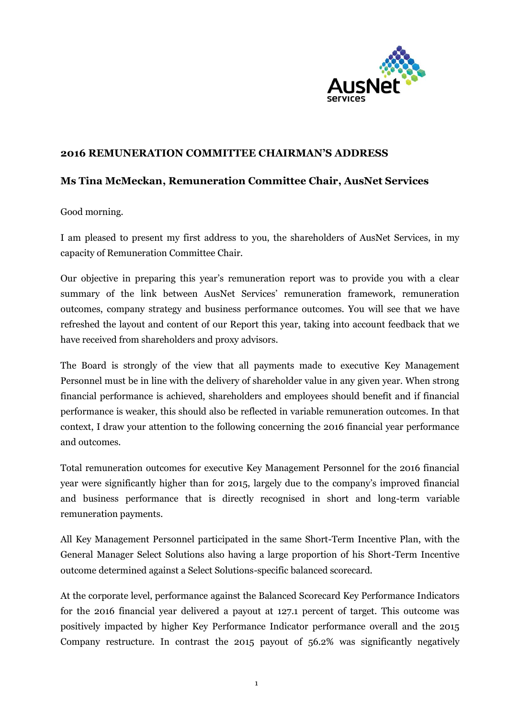

#### **2016 REMUNERATION COMMITTEE CHAIRMAN'S ADDRESS**

# **Ms Tina McMeckan, Remuneration Committee Chair, AusNet Services**

Good morning.

I am pleased to present my first address to you, the shareholders of AusNet Services, in my capacity of Remuneration Committee Chair.

Our objective in preparing this year's remuneration report was to provide you with a clear summary of the link between AusNet Services' remuneration framework, remuneration outcomes, company strategy and business performance outcomes. You will see that we have refreshed the layout and content of our Report this year, taking into account feedback that we have received from shareholders and proxy advisors.

The Board is strongly of the view that all payments made to executive Key Management Personnel must be in line with the delivery of shareholder value in any given year. When strong financial performance is achieved, shareholders and employees should benefit and if financial performance is weaker, this should also be reflected in variable remuneration outcomes. In that context, I draw your attention to the following concerning the 2016 financial year performance and outcomes.

Total remuneration outcomes for executive Key Management Personnel for the 2016 financial year were significantly higher than for 2015, largely due to the company's improved financial and business performance that is directly recognised in short and long-term variable remuneration payments.

All Key Management Personnel participated in the same Short-Term Incentive Plan, with the General Manager Select Solutions also having a large proportion of his Short-Term Incentive outcome determined against a Select Solutions-specific balanced scorecard.

At the corporate level, performance against the Balanced Scorecard Key Performance Indicators for the 2016 financial year delivered a payout at 127.1 percent of target. This outcome was positively impacted by higher Key Performance Indicator performance overall and the 2015 Company restructure. In contrast the 2015 payout of 56.2% was significantly negatively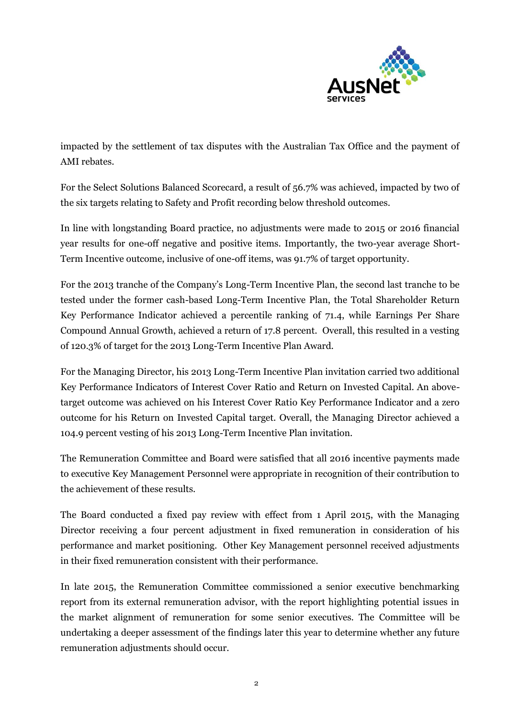

impacted by the settlement of tax disputes with the Australian Tax Office and the payment of AMI rebates.

For the Select Solutions Balanced Scorecard, a result of 56.7% was achieved, impacted by two of the six targets relating to Safety and Profit recording below threshold outcomes.

In line with longstanding Board practice, no adjustments were made to 2015 or 2016 financial year results for one-off negative and positive items. Importantly, the two-year average Short-Term Incentive outcome, inclusive of one-off items, was 91.7% of target opportunity.

For the 2013 tranche of the Company's Long-Term Incentive Plan, the second last tranche to be tested under the former cash-based Long-Term Incentive Plan, the Total Shareholder Return Key Performance Indicator achieved a percentile ranking of 71.4, while Earnings Per Share Compound Annual Growth, achieved a return of 17.8 percent. Overall, this resulted in a vesting of 120.3% of target for the 2013 Long-Term Incentive Plan Award.

For the Managing Director, his 2013 Long-Term Incentive Plan invitation carried two additional Key Performance Indicators of Interest Cover Ratio and Return on Invested Capital. An abovetarget outcome was achieved on his Interest Cover Ratio Key Performance Indicator and a zero outcome for his Return on Invested Capital target. Overall, the Managing Director achieved a 104.9 percent vesting of his 2013 Long-Term Incentive Plan invitation.

The Remuneration Committee and Board were satisfied that all 2016 incentive payments made to executive Key Management Personnel were appropriate in recognition of their contribution to the achievement of these results.

The Board conducted a fixed pay review with effect from 1 April 2015, with the Managing Director receiving a four percent adjustment in fixed remuneration in consideration of his performance and market positioning. Other Key Management personnel received adjustments in their fixed remuneration consistent with their performance.

In late 2015, the Remuneration Committee commissioned a senior executive benchmarking report from its external remuneration advisor, with the report highlighting potential issues in the market alignment of remuneration for some senior executives. The Committee will be undertaking a deeper assessment of the findings later this year to determine whether any future remuneration adjustments should occur.